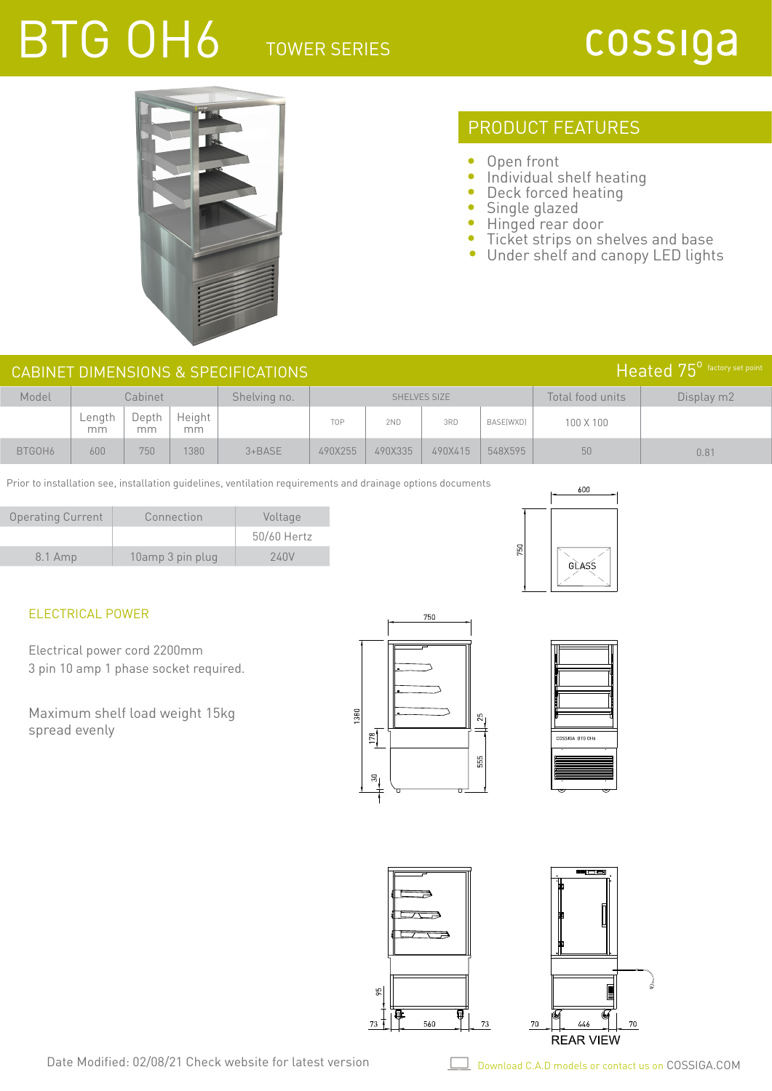# BTG 0H6 TOWER SERIES

## cossiga



### PRODUCT FEATURES

- $\bullet$ Open front
- $\bullet$ Individual shelf heating
- $\bullet$ Deck forced heating
- $\bullet$ Single glazed
- $\bullet$ Hinged rear door
- $\bullet$ Ticket strips on shelves and base
- $\bullet$ Under shelf and canopy LED lights

| Heated 75 <sup>°</sup> factory set point<br>CABINET DIMENSIONS & SPECIFICATIONS |                 |                                         |              |            |         |                  |            |                  |           |      |
|---------------------------------------------------------------------------------|-----------------|-----------------------------------------|--------------|------------|---------|------------------|------------|------------------|-----------|------|
| Model                                                                           |                 | Cabinet<br>Shelving no.<br>SHELVES SIZE |              |            |         | Total food units | Display m2 |                  |           |      |
|                                                                                 | $L$ ength<br>mm | Depth<br>mm                             | Height<br>mm |            | TOP     | 2ND              | 3RD        | <b>BASE(WXD)</b> | 100 X 100 |      |
| BTGOH6                                                                          | 600             | 750                                     | 380          | $3 + BASE$ | 490X255 | 490X335          | 490X415    | 548X595          | 50        | 0.81 |

Prior to installation see, installation guidelines, ventilation requirements and drainage options documents

| <b>Operating Current</b> | Connection       | Voltage     |
|--------------------------|------------------|-------------|
|                          |                  | 50/60 Hertz |
| 8.1 Amp                  | 10amp 3 pin plug | 240V        |



#### ELECTRICAL POWER

Electrical power cord 2200mm 3 pin 10 amp 1 phase socket required.

Maximum shelf load weight 15kg spread evenly